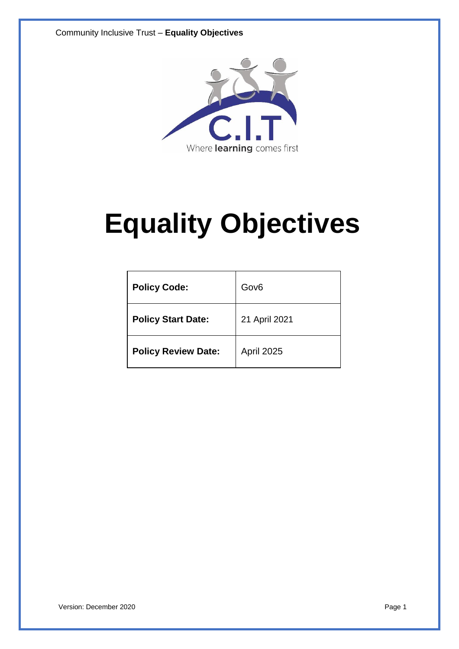

# **Equality Objectives**

| <b>Policy Code:</b>        | Gov <sub>6</sub> |
|----------------------------|------------------|
| <b>Policy Start Date:</b>  | 21 April 2021    |
| <b>Policy Review Date:</b> | April 2025       |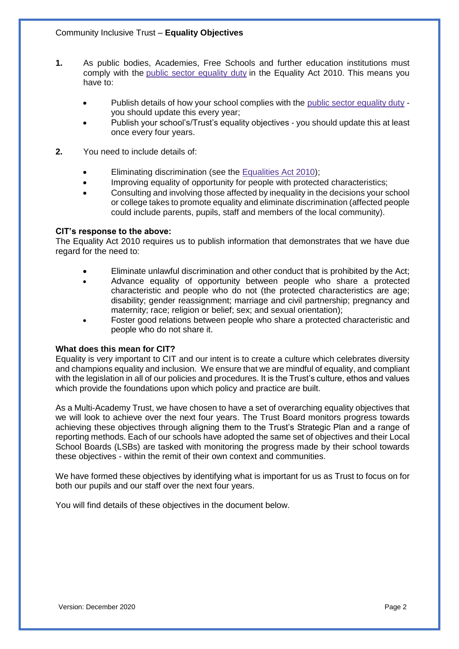- **1.** As public bodies, Academies, Free Schools and further education institutions must comply with the public sector [equality](http://www.legislation.gov.uk/ukpga/2010/15/section/149) duty in the Equality Act 2010. This means you have to:
	- Publish details of how your school complies with the public sector [equality](http://www.legislation.gov.uk/ukpga/2010/15/section/149) duty you should update this every year;
	- Publish your school's/Trust's equality objectives you should update this at least once every four years.
- **2.** You need to include details of:
	- Eliminating discrimination (see the [Equalities](http://www.legislation.gov.uk/ukpga/2010/15/contents) Act 2010);
	- Improving equality of opportunity for people with protected characteristics;
	- Consulting and involving those affected by inequality in the decisions your school or college takes to promote equality and eliminate discrimination (affected people could include parents, pupils, staff and members of the local community).

### **CIT's response to the above:**

The Equality Act 2010 requires us to publish information that demonstrates that we have due regard for the need to:

- Eliminate unlawful discrimination and other conduct that is prohibited by the Act;
- Advance equality of opportunity between people who share a protected characteristic and people who do not (the protected characteristics are age; disability; gender reassignment; marriage and civil partnership; pregnancy and maternity; race; religion or belief; sex; and sexual orientation);
- Foster good relations between people who share a protected characteristic and people who do not share it.

### **What does this mean for CIT?**

Equality is very important to CIT and our intent is to create a culture which celebrates diversity and champions equality and inclusion. We ensure that we are mindful of equality, and compliant with the legislation in all of our policies and procedures. It is the Trust's culture, ethos and values which provide the foundations upon which policy and practice are built.

As a Multi-Academy Trust, we have chosen to have a set of overarching equality objectives that we will look to achieve over the next four years. The Trust Board monitors progress towards achieving these objectives through aligning them to the Trust's Strategic Plan and a range of reporting methods. Each of our schools have adopted the same set of objectives and their Local School Boards (LSBs) are tasked with monitoring the progress made by their school towards these objectives - within the remit of their own context and communities.

We have formed these objectives by identifying what is important for us as Trust to focus on for both our pupils and our staff over the next four years.

You will find details of these objectives in the document below.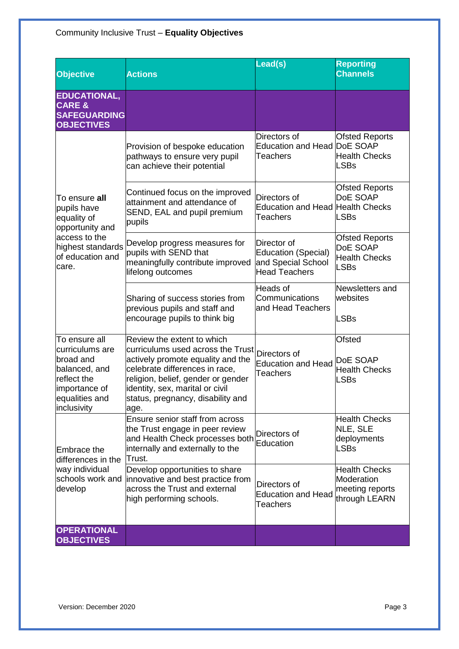## Community Inclusive Trust – **Equality Objectives**

| <b>Objective</b>                                                                                                                | <b>Actions</b>                                                                                                                                                                                                                                               | Lead(s)                                                                                 | <b>Reporting</b><br><b>Channels</b>                                      |
|---------------------------------------------------------------------------------------------------------------------------------|--------------------------------------------------------------------------------------------------------------------------------------------------------------------------------------------------------------------------------------------------------------|-----------------------------------------------------------------------------------------|--------------------------------------------------------------------------|
| <b>EDUCATIONAL,</b><br><b>CARE &amp;</b><br><b>SAFEGUARDING</b><br><b>OBJECTIVES</b>                                            |                                                                                                                                                                                                                                                              |                                                                                         |                                                                          |
| To ensure all<br>pupils have<br>equality of<br>opportunity and<br>access to the<br>of education and<br>care.                    | Provision of bespoke education<br>pathways to ensure very pupil<br>can achieve their potential                                                                                                                                                               | Directors of<br>Education and Head DoE SOAP<br><b>Teachers</b>                          | <b>Ofsted Reports</b><br><b>Health Checks</b><br><b>LSBs</b>             |
|                                                                                                                                 | Continued focus on the improved<br>attainment and attendance of<br>SEND, EAL and pupil premium<br>pupils                                                                                                                                                     | Directors of<br>Education and Head Health Checks<br><b>Teachers</b>                     | <b>Ofsted Reports</b><br>DoE SOAP<br>LSBs                                |
|                                                                                                                                 | highest standards Develop progress measures for<br>pupils with SEND that<br>meaningfully contribute improved<br>lifelong outcomes                                                                                                                            | Director of<br><b>Education (Special)</b><br>and Special School<br><b>Head Teachers</b> | <b>Ofsted Reports</b><br>DoE SOAP<br><b>Health Checks</b><br><b>LSBs</b> |
|                                                                                                                                 | Sharing of success stories from<br>previous pupils and staff and<br>encourage pupils to think big                                                                                                                                                            | Heads of<br>Communications<br>and Head Teachers                                         | Newsletters and<br>websites<br>LSBs                                      |
| To ensure all<br>curriculums are<br>broad and<br>balanced, and<br>reflect the<br>importance of<br>equalities and<br>inclusivity | Review the extent to which<br>curriculums used across the Trust<br>actively promote equality and the<br>celebrate differences in race,<br>religion, belief, gender or gender<br>identity, sex, marital or civil<br>status, pregnancy, disability and<br>age. | Directors of<br><b>Education and Head</b><br><b>Teachers</b>                            | <b>Ofsted</b><br>DoE SOAP<br><b>Health Checks</b><br>LSBs                |
| <b>Embrace the</b><br>differences in the<br>way individual<br>schools work and<br>develop                                       | Ensure senior staff from across<br>the Trust engage in peer review<br>and Health Check processes both<br>internally and externally to the<br>Trust.                                                                                                          | Directors of<br>Education                                                               | <b>Health Checks</b><br>NLE, SLE<br>deployments<br><b>LSBs</b>           |
|                                                                                                                                 | Develop opportunities to share<br>innovative and best practice from<br>across the Trust and external<br>high performing schools.                                                                                                                             | Directors of<br><b>Education and Head</b><br>Teachers                                   | <b>Health Checks</b><br>Moderation<br>meeting reports<br>through LEARN   |
| <b>OPERATIONAL</b><br><b>OBJECTIVES</b>                                                                                         |                                                                                                                                                                                                                                                              |                                                                                         |                                                                          |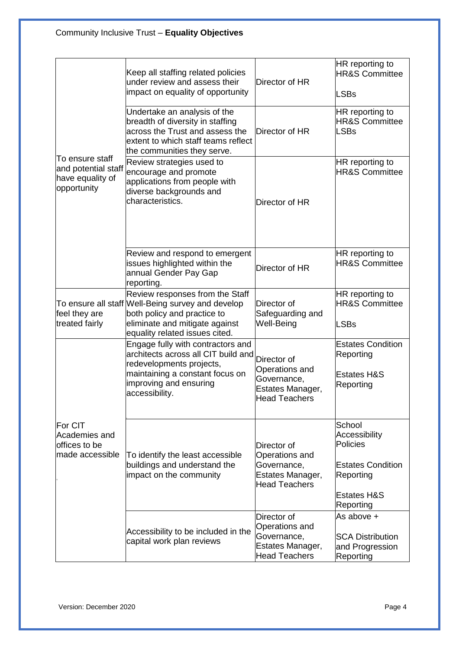| To ensure staff<br>and potential staff<br>have equality of<br>opportunity | Keep all staffing related policies<br>under review and assess their<br>impact on equality of opportunity                                                                                | Director of HR                                                                           | HR reporting to<br><b>HR&amp;S Committee</b><br><b>LSBs</b>                                                                       |
|---------------------------------------------------------------------------|-----------------------------------------------------------------------------------------------------------------------------------------------------------------------------------------|------------------------------------------------------------------------------------------|-----------------------------------------------------------------------------------------------------------------------------------|
|                                                                           | Undertake an analysis of the<br>breadth of diversity in staffing<br>across the Trust and assess the<br>extent to which staff teams reflect<br>the communities they serve.               | Director of HR                                                                           | HR reporting to<br><b>HR&amp;S Committee</b><br><b>LSBs</b>                                                                       |
|                                                                           | Review strategies used to<br>encourage and promote<br>applications from people with<br>diverse backgrounds and<br>characteristics.                                                      | Director of HR                                                                           | HR reporting to<br><b>HR&amp;S Committee</b>                                                                                      |
|                                                                           | Review and respond to emergent<br>issues highlighted within the<br>annual Gender Pay Gap<br>reporting.                                                                                  | Director of HR                                                                           | HR reporting to<br><b>HR&amp;S Committee</b>                                                                                      |
| feel they are<br>treated fairly                                           | Review responses from the Staff<br>To ensure all staff Well-Being survey and develop<br>both policy and practice to<br>eliminate and mitigate against<br>equality related issues cited. | Director of<br>Safeguarding and<br>Well-Being                                            | HR reporting to<br><b>HR&amp;S Committee</b><br><b>LSBs</b>                                                                       |
| <b>For CIT</b><br>Academies and<br>offices to be<br>made accessible       | Engage fully with contractors and<br>architects across all CIT build and<br>redevelopments projects,<br>maintaining a constant focus on<br>improving and ensuring<br>accessibility.     | Director of<br>Operations and<br>Governance,<br>Estates Manager,<br><b>Head Teachers</b> | <b>Estates Condition</b><br>Reporting<br><b>Estates H&amp;S</b><br>Reporting                                                      |
|                                                                           | To identify the least accessible<br>buildings and understand the<br>impact on the community                                                                                             | Director of<br>Operations and<br>Governance,<br>Estates Manager,<br><b>Head Teachers</b> | School<br><b>Accessibility</b><br><b>Policies</b><br><b>Estates Condition</b><br>Reporting<br><b>Estates H&amp;S</b><br>Reporting |
|                                                                           | Accessibility to be included in the<br>capital work plan reviews                                                                                                                        | Director of<br>Operations and<br>Governance,<br>Estates Manager,<br><b>Head Teachers</b> | As above +<br><b>SCA Distribution</b><br>and Progression<br>Reporting                                                             |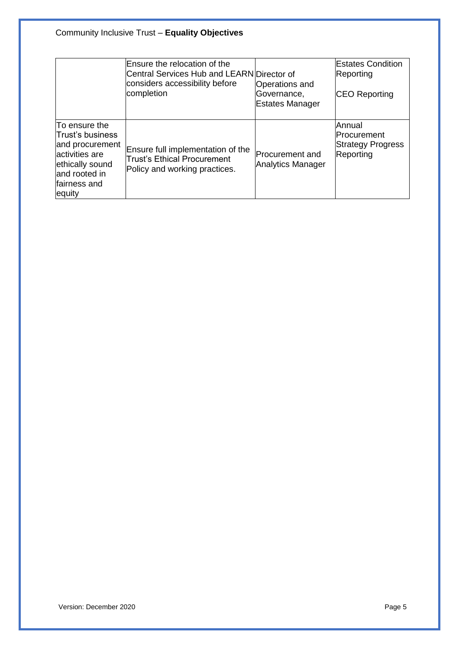|                                                                                                                                        | Ensure the relocation of the<br>Central Services Hub and LEARN Director of<br>considers accessibility before<br>completion | <b>Operations and</b><br>Governance,<br><b>Estates Manager</b> | <b>Estates Condition</b><br>Reporting<br><b>CEO Reporting</b>  |
|----------------------------------------------------------------------------------------------------------------------------------------|----------------------------------------------------------------------------------------------------------------------------|----------------------------------------------------------------|----------------------------------------------------------------|
| To ensure the<br>Trust's business<br>and procurement<br>activities are<br>ethically sound<br>land rooted in<br>lfairness and<br>equity | Ensure full implementation of the<br><b>Trust's Ethical Procurement</b><br>Policy and working practices.                   | <b>Procurement and</b><br><b>Analytics Manager</b>             | Annual<br>Procurement<br><b>Strategy Progress</b><br>Reporting |